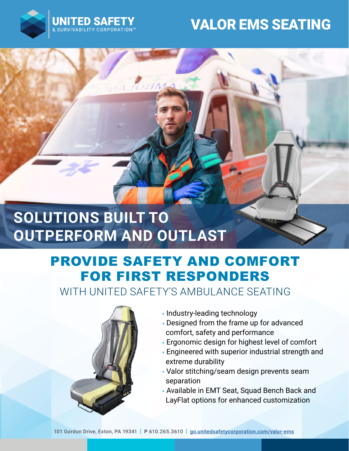

## VALOR EMS SEATING

# **SOLUTIONS BUILT TO OUTPERFORM AND OUTLAST**

VAM

## PROVIDE SAFETY AND COMFORT FOR FIRST RESPONDERS

WITH UNITED SAFFTY'S AMBULANCE SFATING



- Industry-leading technology
- Designed from the frame up for advanced comfort, safety and performance
- Ergonomic design for highest level of comfort
- Engineered with superior industrial strength and extreme durability
- Valor stitching/seam design prevents seam separation
- Available in EMT Seat, Squad Bench Back and LayFlat options for enhanced customization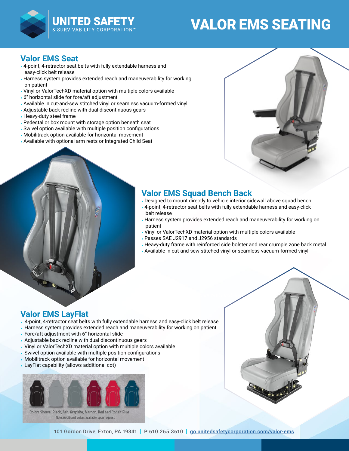

# VALOR EMS SEATING

### **Valor EMS Seat**

- 4-point, 4-retractor seat belts with fully extendable harness and easy-click belt release
- Harness system provides extended reach and maneuverability for working on patient
- Vinyl or ValorTechXD material option with multiple colors available
- 6″ horizontal slide for fore/aft adjustment
- Available in cut-and-sew stitched vinyl or seamless vacuum-formed vinyl
- Adjustable back recline with dual discontinuous gears
- Heavy-duty steel frame
- Pedestal or box mount with storage option beneath seat
- Swivel option available with multiple position configurations
- Mobilitrack option available for horizontal movement
- Available with optional arm rests or Integrated Child Seat



### **Valor EMS Squad Bench Back**

- Designed to mount directly to vehicle interior sidewall above squad bench
- 4-point, 4-retractor seat belts with fully extendable harness and easy-click belt release
- Harness system provides extended reach and maneuverability for working on patient
- Vinyl or ValorTechXD material option with multiple colors available
- Passes SAE J2917 and J2956 standards
- Heavy-duty frame with reinforced side bolster and rear crumple zone back metal
- Available in cut-and-sew stitched vinyl or seamless vacuum-formed vinyl

### **Valor EMS LayFlat**

- 4-point, 4-retractor seat belts with fully extendable harness and easy-click belt release
- Harness system provides extended reach and maneuverability for working on patient
- Fore/aft adjustment with 6" horizontal slide
- Adjustable back recline with dual discontinuous gears
- Vinyl or ValorTechXD material option with multiple colors available
- Swivel option available with multiple position configurations
- Mobilitrack option available for horizontal movement
- LayFlat capability (allows additional cot)



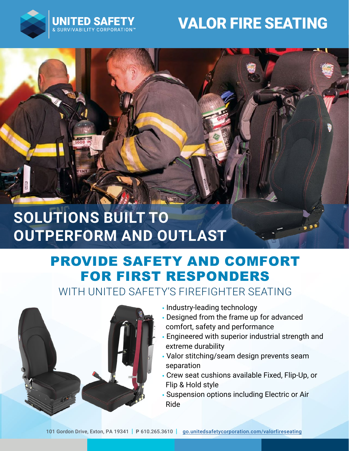

# VALOR FIRE SEATING

# **SOLUTIONS BUILT TO OUTPERFORM AND OUTLAST**

## PROVIDE SAFETY AND COMFORT FOR FIRST RESPONDERS

WITH UNITED SAFETY'S FIREFIGHTER SEATING



- Industry-leading technology
- Designed from the frame up for advanced comfort, safety and performance
- Engineered with superior industrial strength and extreme durability
- Valor stitching/seam design prevents seam separation
- Crew seat cushions available Fixed, Flip-Up, or Flip & Hold style
- Suspension options including Electric or Air Ride